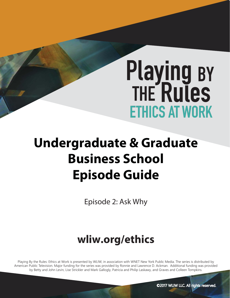# **Playing BY<br>THE Rules ETHICS AT WORK**

# **Undergraduate & Graduate Business School Episode Guide**

Episode 2: Ask Why

# **wliw.org/ethics**

Playing By the Rules: Ethics at Work is presented by WLIW, in association with WNET New York Public Media. The series is distributed by American Public Television. Major funding for the series was provided by Ronnie and Lawrence D. Ackman. Additional funding was provided by Betty and John Levin, Lise Strickler and Mark Gallogly, Patricia and Philip Laskawy, and Graves and Colleen Tompkins.

©2017 WLIW LLC. All rights reserved.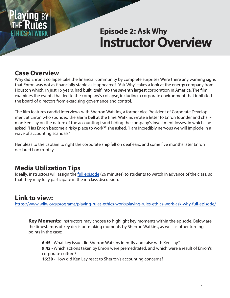

# Instructor Overview **Episode 2: Ask Why**

# **Case Overview**

Why did Enron's collapse take the financial community by complete surprise? Were there any warning signs that Enron was not as financially stable as it appeared? "Ask Why" takes a look at the energy company from Houston which, in just 15 years, had built itself into the seventh largest corporation in America. The film examines the events that led to the company's collapse, including a corporate environment that inhibited the board of directors from exercising governance and control.

The film features candid interviews with Sherron Watkins, a former Vice President of Corporate Development at Enron who sounded the alarm bell at the time. Watkins wrote a letter to Enron founder and chairman Ken Lay on the nature of the accounting fraud hiding the company's investment losses, in which she asked, "Has Enron become a risky place to work?" she asked. "I am incredibly nervous we will implode in a wave of accounting scandals."

Her pleas to the captain to right the corporate ship fell on deaf ears, and some five months later Enron declared bankruptcy.

# **Media Utilization Tips**

Ideally, instructors will assign the [full episode](https://www.wliw.org/programs/playing-rules-ethics-work/playing-rules-ethics-work-ask-why-full-episode/) (26 minutes) to students to watch in advance of the class, so that they may fully participate in the in-class discussion.

## **Link to view:**

[https://www.wliw.org/programs/playing-rules-ethics-work/playing-rules-ethics-work-ask-why-full-episode](https://www.wliw.org/programs/playing-rules-ethics-work/playing-rules-ethics-work-ask-why-full-episode/)/

**Key Moments:** Instructors may choose to highlight key moments within the episode. Below are the timestamps of key decision-making moments by Sherron Watkins, as well as other turning points in the case:

**6:45** - What key issue did Sherron Watkins identify and raise with Ken Lay? **9:42** - Which actions taken by Enron were premeditated, and which were a result of Enron's corporate culture?

**16:30 -** How did Ken Lay react to Sherron's accounting concerns?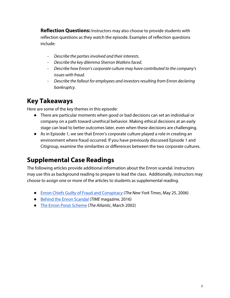**Reflection Questions:** Instructors may also choose to provide students with reflection questions as they watch the episode. Examples of reflection questions include:

- Describe the parties involved and their interests.
- Describe the key dilemma Sherron Watkins faced.
- Describe how Enron's corporate culture may have contributed to the company's issues with fraud.
- Describe the fallout for employees and investors resulting from Enron declaring bankruptcy.

## **Key Takeaways**

Here are some of the key themes in this episode:

- There are particular moments when good or bad decisions can set an individual or company on a path toward unethical behavior. Making ethical decisions at an early stage can lead to better outcomes later, even when these decisions are challenging.
- As in Episode 1, we see that Enron's corporate culture played a role in creating an environment where fraud occurred. If you have previously discussed Episode 1 and Citigroup, examine the similarities or differences between the two corporate cultures.

# **Supplemental Case Readings**

The following articles provide additional information about the Enron scandal. Instructors may use this as background reading to prepare to lead the class. Additionally, instructors may choose to assign one or more of the articles to students as supplemental reading.

- [Enron Chiefs Guilty of Fraud and Conspiracy \(](https://www.nytimes.com/2006/05/25/business/25cnd-enron.html)The New York Times, May 25, 2006)
- [Behind the Enron Scandal](http://content.time.com/time/specials/packages/0,28757,2021097,00.html) (TIME magazine, 2016)
- [The Enron Ponzi Scheme \(](https://www.theatlantic.com/magazine/archive/2002/03/the-enron-ponzi-scheme/303156/)The Atlantic, March 2002)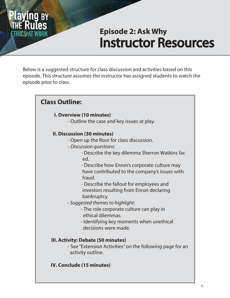

# Instructor Resources **Episode 2: Ask Why**

Below is a suggested structure for class discussion and activities based on this episode. This structure assumes the instructor has assigned students to watch the episode prior to class.

# **Class Outline:**

#### **I. Overview (10 minutes)**

- Outline the case and key issues at play.

#### **II. Discussion (30 minutes)**

- Open up the floor for class discussion.
- *Discussion questions:*
	- Describe the key dilemma Sherron Watkins fac ed.
	- Describe how Enron's corporate culture may have contributed to the company's issues with fraud.
	- Describe the fallout for employees and investors resulting from Enron declaring bankruptcy.
- Suggested themes to highlight:
	- The role corporate culture can play in ethical dilemmas.
	- Identifying key moments when unethical decisions were made.

#### **III. Activity: Debate (50 minutes)**

- See "Extension Activities" on the following page for an activity outline.

#### **IV. Conclude (15 minutes)**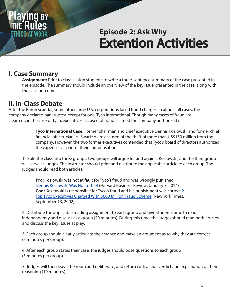

# Extention Activities **Episode 2: Ask Why**

## **I. Case Summary**

 **Assignment:** Prior to class, assign students to write a three-sentence summary of the case presented in the episode. The summary should include an overview of the key issue presented in the case, along with the case outcome.

## **II. In-Class Debate**

After the Enron scandal, some other large U.S. corporations faced fraud charges. In almost all cases, the company declared bankruptcy, except for one: Tyco International. Though many cases of fraud are clear-cut, in the case of Tyco, executives accused of fraud claimed the company authorized it.

> **Tyco International Case:** Former chairman and chief executive Dennis Kozlowski and former chief financial officer Mark H. Swartz were accused of the theft of more than US\$150 million from the company. However, the two former executives contended that Tyco's board of directors authorized the expenses as part of their compensation.

1. Split the class into three groups: two groups will argue for and against Kozlowski, and the third group will serve as judges. The instructor should print and distribute the applicable article to each group. The judges should read both articles.

**Pro:** Kozlowski was not at fault for Tyco's fraud and was wrongly punished [Dennis Kozlowski Was Not a](https://hbr.org/2014/01/dennis-kozlowski-was-not-a-thief) Thief (Harvard Business Review, January 7, 2014) **Con:** Kozlowski is responsible for Tyco's fraud and his punishment was correct 2 [Top Tyco Executives Charged With \\$600 Million Fraud Scheme \(](https://www.nytimes.com/2002/09/13/business/2-top-tyco-executives-charged-with-600-million-fraud-scheme.html)New York Times, September 13, 2002)

2. Distribute the applicable reading assignment to each group and give students time to read independently and discuss as a group (20 minutes). During this time, the judges should read both articles and discuss the key issues at play.

3. Each group should clearly articulate their stance and make an argument as to why they are correct (5 minutes per group).

4. After each group states their case, the judges should pose questions to each group (5 minutes per group).

5. Judges will then leave the room and deliberate, and return with a final verdict and explanation of their reasoning (10 minutes).